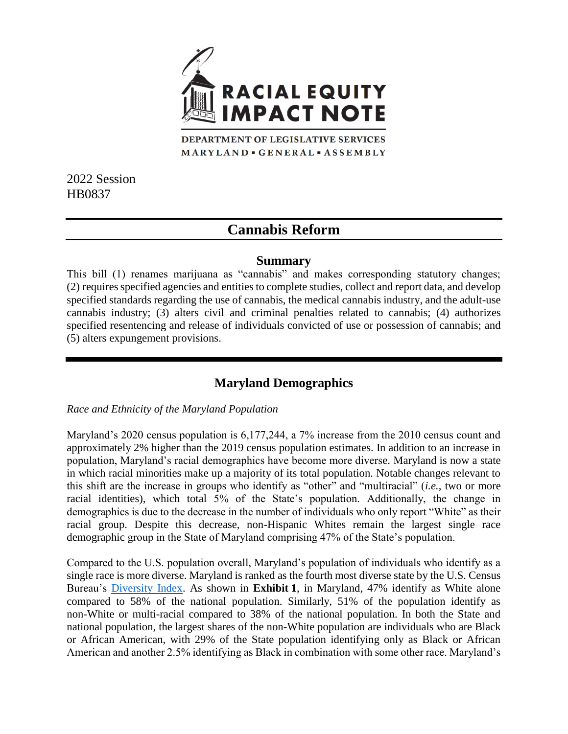

DEPARTMENT OF LEGISLATIVE SERVICES MARYLAND · GENERAL · ASSEMBLY

2022 Session HB0837

# **Cannabis Reform**

### **Summary**

This bill (1) renames marijuana as "cannabis" and makes corresponding statutory changes; (2) requires specified agencies and entities to complete studies, collect and report data, and develop specified standards regarding the use of cannabis, the medical cannabis industry, and the adult-use cannabis industry; (3) alters civil and criminal penalties related to cannabis; (4) authorizes specified resentencing and release of individuals convicted of use or possession of cannabis; and (5) alters expungement provisions.

# **Maryland Demographics**

#### *Race and Ethnicity of the Maryland Population*

Maryland's 2020 census population is 6,177,244, a 7% increase from the 2010 census count and approximately 2% higher than the 2019 census population estimates. In addition to an increase in population, Maryland's racial demographics have become more diverse. Maryland is now a state in which racial minorities make up a majority of its total population. Notable changes relevant to this shift are the increase in groups who identify as "other" and "multiracial" (*i.e.*, two or more racial identities), which total 5% of the State's population. Additionally, the change in demographics is due to the decrease in the number of individuals who only report "White" as their racial group. Despite this decrease, non-Hispanic Whites remain the largest single race demographic group in the State of Maryland comprising 47% of the State's population.

Compared to the U.S. population overall, Maryland's population of individuals who identify as a single race is more diverse. Maryland is ranked as the fourth most diverse state by the U.S. Census Bureau's [Diversity Index.](https://www.census.gov/library/visualizations/interactive/racial-and-ethnic-diversity-in-the-united-states-2010-and-2020-census.html) As shown in **Exhibit 1**, in Maryland, 47% identify as White alone compared to 58% of the national population. Similarly, 51% of the population identify as non-White or multi-racial compared to 38% of the national population. In both the State and national population, the largest shares of the non-White population are individuals who are Black or African American, with 29% of the State population identifying only as Black or African American and another 2.5% identifying as Black in combination with some other race. Maryland's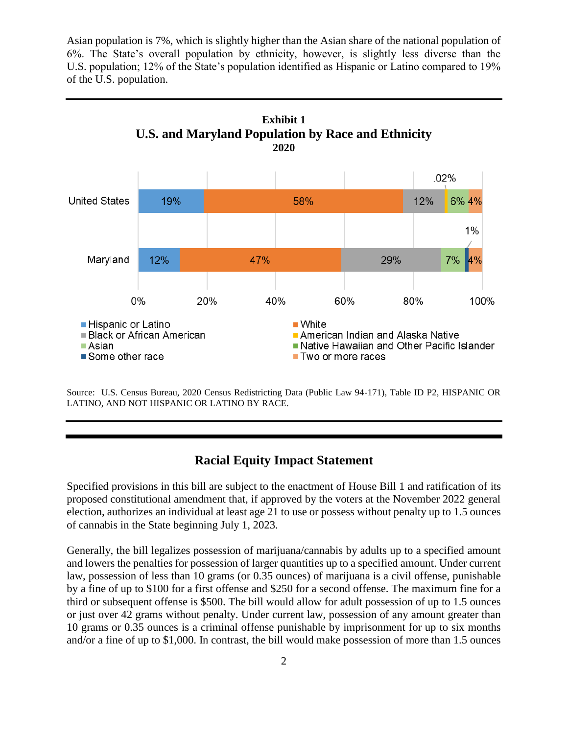Asian population is 7%, which is slightly higher than the Asian share of the national population of 6%. The State's overall population by ethnicity, however, is slightly less diverse than the U.S. population; 12% of the State's population identified as Hispanic or Latino compared to 19% of the U.S. population.



Source: U.S. Census Bureau, 2020 Census Redistricting Data (Public Law 94-171), Table ID P2, HISPANIC OR LATINO, AND NOT HISPANIC OR LATINO BY RACE.

## **Racial Equity Impact Statement**

Specified provisions in this bill are subject to the enactment of House Bill 1 and ratification of its proposed constitutional amendment that, if approved by the voters at the November 2022 general election, authorizes an individual at least age 21 to use or possess without penalty up to 1.5 ounces of cannabis in the State beginning July 1, 2023.

Generally, the bill legalizes possession of marijuana/cannabis by adults up to a specified amount and lowers the penalties for possession of larger quantities up to a specified amount. Under current law, possession of less than 10 grams (or 0.35 ounces) of marijuana is a civil offense, punishable by a fine of up to \$100 for a first offense and \$250 for a second offense. The maximum fine for a third or subsequent offense is \$500. The bill would allow for adult possession of up to 1.5 ounces or just over 42 grams without penalty. Under current law, possession of any amount greater than 10 grams or 0.35 ounces is a criminal offense punishable by imprisonment for up to six months and/or a fine of up to \$1,000. In contrast, the bill would make possession of more than 1.5 ounces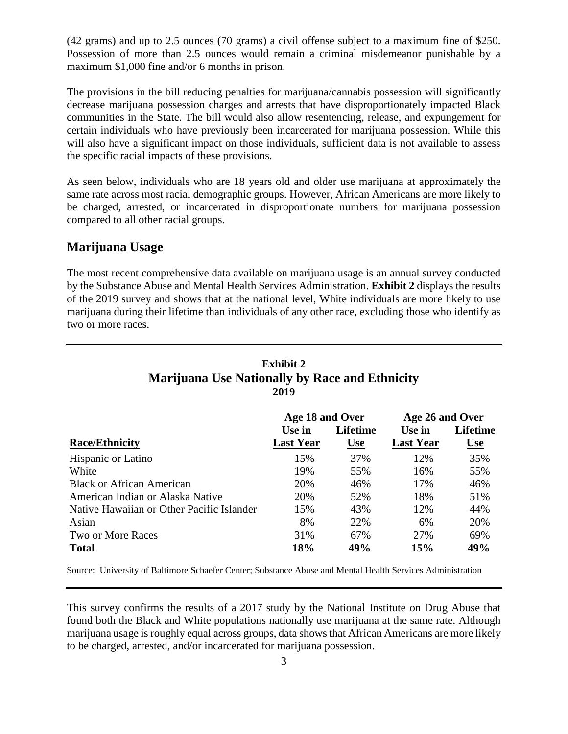(42 grams) and up to 2.5 ounces (70 grams) a civil offense subject to a maximum fine of \$250. Possession of more than 2.5 ounces would remain a criminal misdemeanor punishable by a maximum \$1,000 fine and/or 6 months in prison.

The provisions in the bill reducing penalties for marijuana/cannabis possession will significantly decrease marijuana possession charges and arrests that have disproportionately impacted Black communities in the State. The bill would also allow resentencing, release, and expungement for certain individuals who have previously been incarcerated for marijuana possession. While this will also have a significant impact on those individuals, sufficient data is not available to assess the specific racial impacts of these provisions.

As seen below, individuals who are 18 years old and older use marijuana at approximately the same rate across most racial demographic groups. However, African Americans are more likely to be charged, arrested, or incarcerated in disproportionate numbers for marijuana possession compared to all other racial groups.

### **Marijuana Usage**

The most recent comprehensive data available on marijuana usage is an annual survey conducted by the Substance Abuse and Mental Health Services Administration. **Exhibit 2** displays the results of the 2019 survey and shows that at the national level, White individuals are more likely to use marijuana during their lifetime than individuals of any other race, excluding those who identify as two or more races.

# **Exhibit 2 Marijuana Use Nationally by Race and Ethnicity 2019**

|                                           | Age 18 and Over  |            | Age 26 and Over  |            |
|-------------------------------------------|------------------|------------|------------------|------------|
|                                           | Use in           | Lifetime   | Use in           | Lifetime   |
| <b>Race/Ethnicity</b>                     | <b>Last Year</b> | <u>Use</u> | <b>Last Year</b> | <u>Use</u> |
| <b>Hispanic or Latino</b>                 | 15%              | 37%        | 12%              | 35%        |
| White                                     | 19%              | 55%        | 16%              | 55%        |
| <b>Black or African American</b>          | 20%              | 46%        | 17%              | 46%        |
| American Indian or Alaska Native          | 20%              | 52%        | 18%              | 51%        |
| Native Hawaiian or Other Pacific Islander | 15%              | 43%        | 12%              | 44%        |
| Asian                                     | 8%               | 22%        | 6%               | 20%        |
| Two or More Races                         | 31%              | 67%        | 27%              | 69%        |
| <b>Total</b>                              | 18%              | 49%        | 15%              | 49%        |

Source: University of Baltimore Schaefer Center; Substance Abuse and Mental Health Services Administration

This survey confirms the results of a 2017 study by the National Institute on Drug Abuse that found both the Black and White populations nationally use marijuana at the same rate. Although marijuana usage is roughly equal across groups, data shows that African Americans are more likely to be charged, arrested, and/or incarcerated for marijuana possession.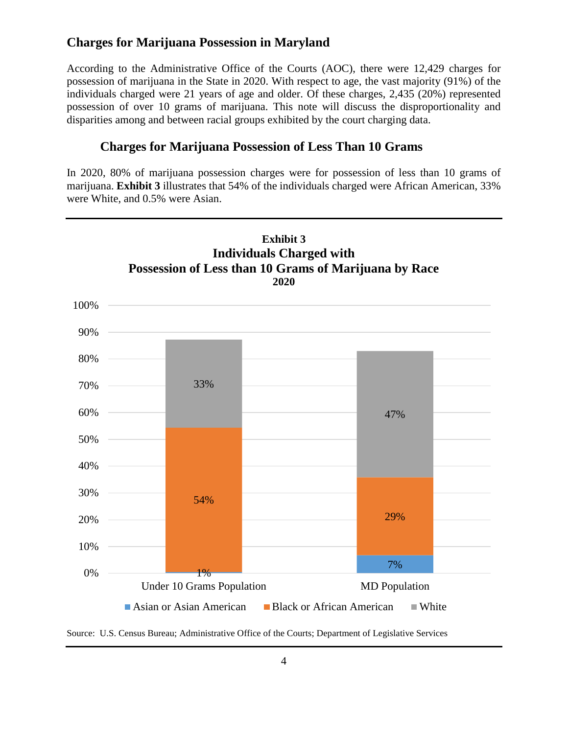# **Charges for Marijuana Possession in Maryland**

According to the Administrative Office of the Courts (AOC), there were 12,429 charges for possession of marijuana in the State in 2020. With respect to age, the vast majority (91%) of the individuals charged were 21 years of age and older. Of these charges, 2,435 (20%) represented possession of over 10 grams of marijuana. This note will discuss the disproportionality and disparities among and between racial groups exhibited by the court charging data.

# **Charges for Marijuana Possession of Less Than 10 Grams**

In 2020, 80% of marijuana possession charges were for possession of less than 10 grams of marijuana. **Exhibit 3** illustrates that 54% of the individuals charged were African American, 33% were White, and 0.5% were Asian.



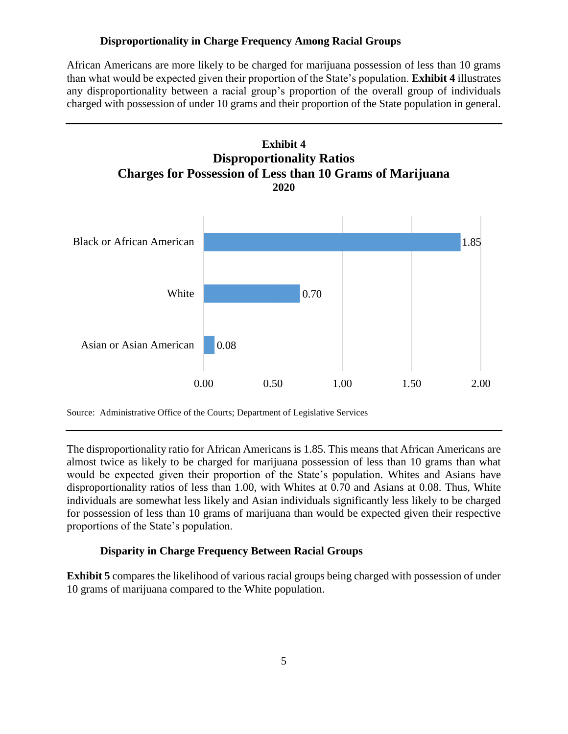#### **Disproportionality in Charge Frequency Among Racial Groups**

African Americans are more likely to be charged for marijuana possession of less than 10 grams than what would be expected given their proportion of the State's population. **Exhibit 4** illustrates any disproportionality between a racial group's proportion of the overall group of individuals charged with possession of under 10 grams and their proportion of the State population in general.



Source: Administrative Office of the Courts; Department of Legislative Services

The disproportionality ratio for African Americans is 1.85. This means that African Americans are almost twice as likely to be charged for marijuana possession of less than 10 grams than what would be expected given their proportion of the State's population. Whites and Asians have disproportionality ratios of less than 1.00, with Whites at 0.70 and Asians at 0.08. Thus, White individuals are somewhat less likely and Asian individuals significantly less likely to be charged for possession of less than 10 grams of marijuana than would be expected given their respective proportions of the State's population.

#### **Disparity in Charge Frequency Between Racial Groups**

**Exhibit 5** compares the likelihood of various racial groups being charged with possession of under 10 grams of marijuana compared to the White population.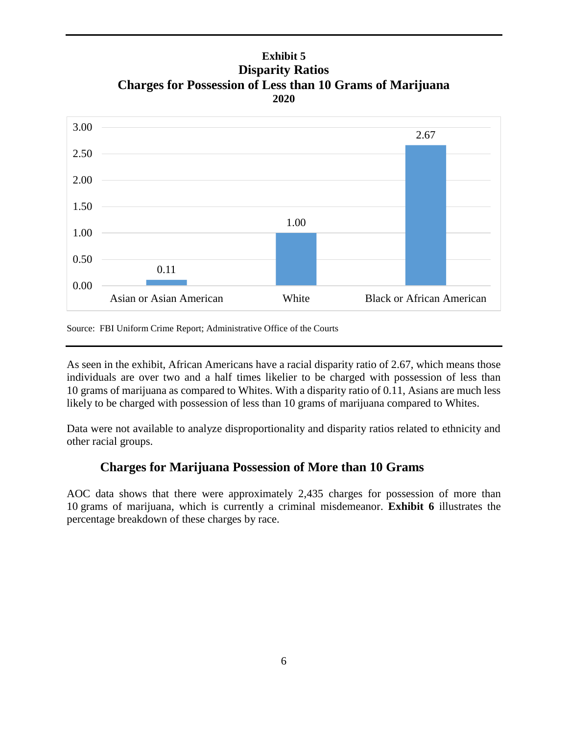# **Exhibit 5 Disparity Ratios Charges for Possession of Less than 10 Grams of Marijuana 2020**



Source: FBI Uniform Crime Report; Administrative Office of the Courts

As seen in the exhibit, African Americans have a racial disparity ratio of 2.67, which means those individuals are over two and a half times likelier to be charged with possession of less than 10 grams of marijuana as compared to Whites. With a disparity ratio of 0.11, Asians are much less likely to be charged with possession of less than 10 grams of marijuana compared to Whites.

Data were not available to analyze disproportionality and disparity ratios related to ethnicity and other racial groups.

# **Charges for Marijuana Possession of More than 10 Grams**

AOC data shows that there were approximately 2,435 charges for possession of more than 10 grams of marijuana, which is currently a criminal misdemeanor. **Exhibit 6** illustrates the percentage breakdown of these charges by race.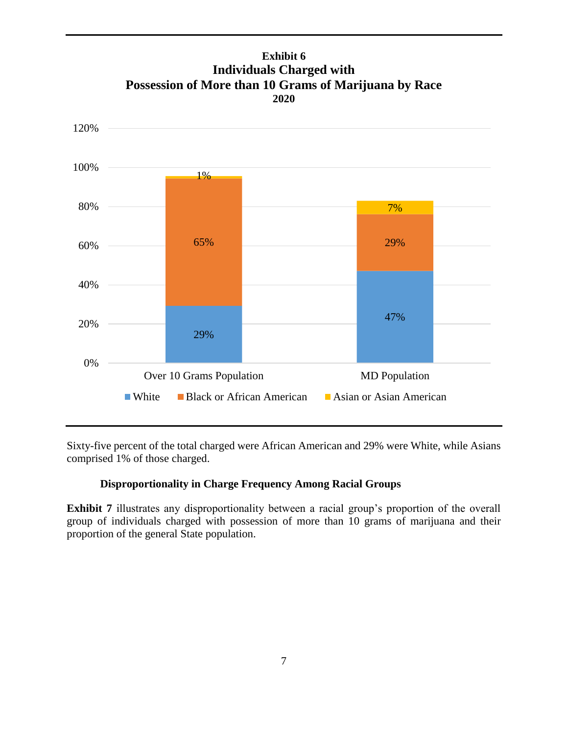

## **Exhibit 6 Individuals Charged with Possession of More than 10 Grams of Marijuana by Race 2020**

Sixty-five percent of the total charged were African American and 29% were White, while Asians comprised 1% of those charged.

### **Disproportionality in Charge Frequency Among Racial Groups**

**Exhibit 7** illustrates any disproportionality between a racial group's proportion of the overall group of individuals charged with possession of more than 10 grams of marijuana and their proportion of the general State population.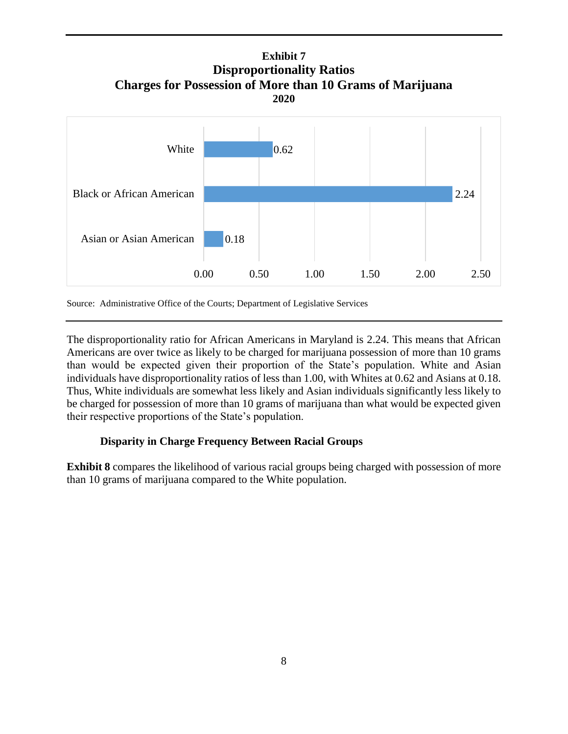**Exhibit 7 Disproportionality Ratios Charges for Possession of More than 10 Grams of Marijuana 2020**



Source: Administrative Office of the Courts; Department of Legislative Services

The disproportionality ratio for African Americans in Maryland is 2.24. This means that African Americans are over twice as likely to be charged for marijuana possession of more than 10 grams than would be expected given their proportion of the State's population. White and Asian individuals have disproportionality ratios of less than 1.00, with Whites at 0.62 and Asians at 0.18. Thus, White individuals are somewhat less likely and Asian individuals significantly less likely to be charged for possession of more than 10 grams of marijuana than what would be expected given their respective proportions of the State's population.

#### **Disparity in Charge Frequency Between Racial Groups**

**Exhibit 8** compares the likelihood of various racial groups being charged with possession of more than 10 grams of marijuana compared to the White population.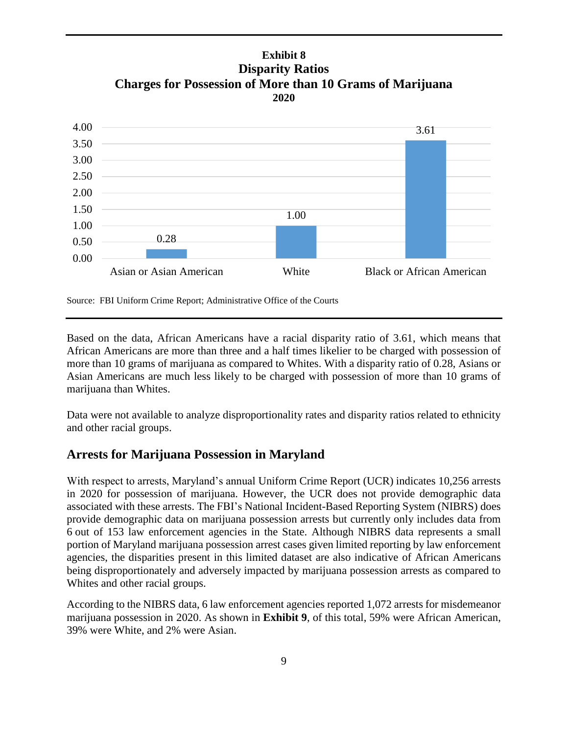## **Exhibit 8 Disparity Ratios Charges for Possession of More than 10 Grams of Marijuana 2020**



Source: FBI Uniform Crime Report; Administrative Office of the Courts

Based on the data, African Americans have a racial disparity ratio of 3.61, which means that African Americans are more than three and a half times likelier to be charged with possession of more than 10 grams of marijuana as compared to Whites. With a disparity ratio of 0.28, Asians or Asian Americans are much less likely to be charged with possession of more than 10 grams of marijuana than Whites.

Data were not available to analyze disproportionality rates and disparity ratios related to ethnicity and other racial groups.

# **Arrests for Marijuana Possession in Maryland**

With respect to arrests, Maryland's annual Uniform Crime Report (UCR) indicates 10,256 arrests in 2020 for possession of marijuana. However, the UCR does not provide demographic data associated with these arrests. The FBI's National Incident-Based Reporting System (NIBRS) does provide demographic data on marijuana possession arrests but currently only includes data from 6 out of 153 law enforcement agencies in the State. Although NIBRS data represents a small portion of Maryland marijuana possession arrest cases given limited reporting by law enforcement agencies, the disparities present in this limited dataset are also indicative of African Americans being disproportionately and adversely impacted by marijuana possession arrests as compared to Whites and other racial groups.

According to the NIBRS data, 6 law enforcement agencies reported 1,072 arrests for misdemeanor marijuana possession in 2020. As shown in **Exhibit 9**, of this total, 59% were African American, 39% were White, and 2% were Asian.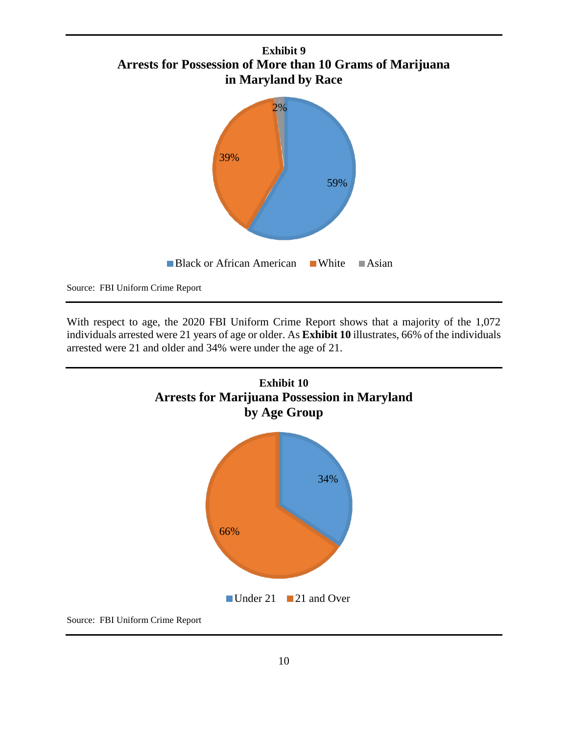



Source: FBI Uniform Crime Report

With respect to age, the 2020 FBI Uniform Crime Report shows that a majority of the 1,072 individuals arrested were 21 years of age or older. As **Exhibit 10** illustrates, 66% of the individuals arrested were 21 and older and 34% were under the age of 21.



Source: FBI Uniform Crime Report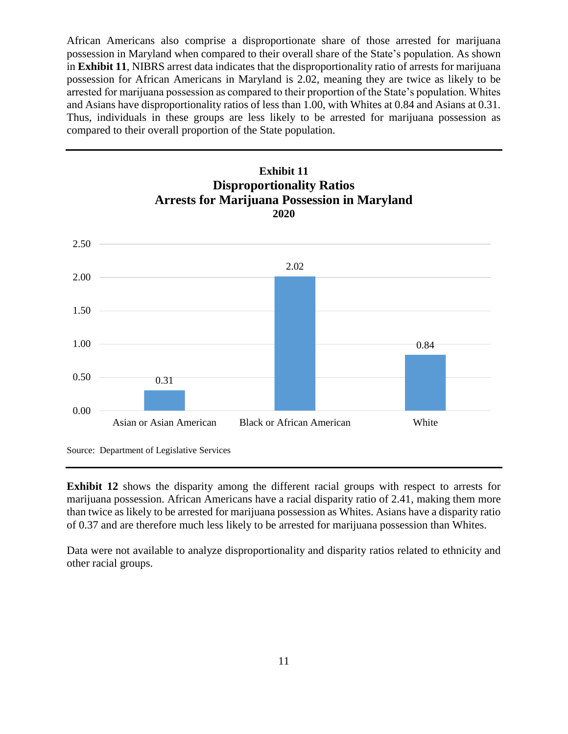African Americans also comprise a disproportionate share of those arrested for marijuana possession in Maryland when compared to their overall share of the State's population. As shown in **Exhibit 11**, NIBRS arrest data indicates that the disproportionality ratio of arrests for marijuana possession for African Americans in Maryland is 2.02, meaning they are twice as likely to be arrested for marijuana possession as compared to their proportion of the State's population. Whites and Asians have disproportionality ratios of less than 1.00, with Whites at 0.84 and Asians at 0.31. Thus, individuals in these groups are less likely to be arrested for marijuana possession as compared to their overall proportion of the State population.



Source: Department of Legislative Services

**Exhibit 12** shows the disparity among the different racial groups with respect to arrests for marijuana possession. African Americans have a racial disparity ratio of 2.41, making them more than twice as likely to be arrested for marijuana possession as Whites. Asians have a disparity ratio of 0.37 and are therefore much less likely to be arrested for marijuana possession than Whites.

Data were not available to analyze disproportionality and disparity ratios related to ethnicity and other racial groups.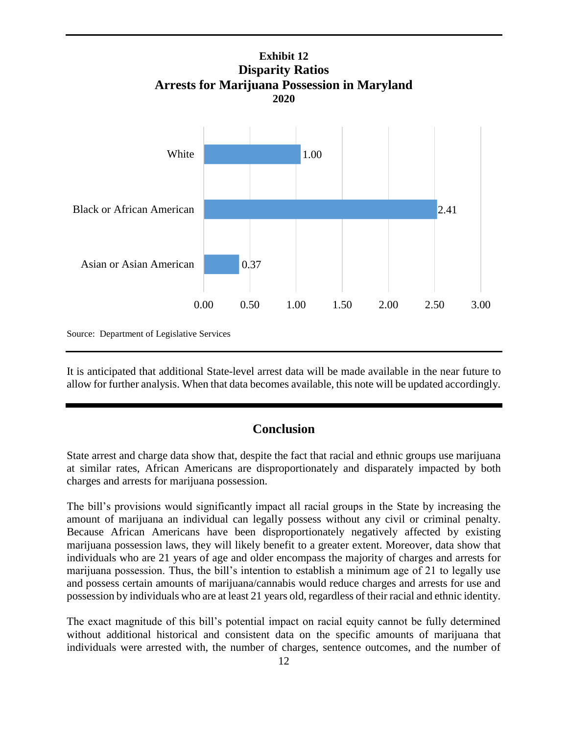

It is anticipated that additional State-level arrest data will be made available in the near future to allow for further analysis. When that data becomes available, this note will be updated accordingly.

### **Conclusion**

State arrest and charge data show that, despite the fact that racial and ethnic groups use marijuana at similar rates, African Americans are disproportionately and disparately impacted by both charges and arrests for marijuana possession.

The bill's provisions would significantly impact all racial groups in the State by increasing the amount of marijuana an individual can legally possess without any civil or criminal penalty. Because African Americans have been disproportionately negatively affected by existing marijuana possession laws, they will likely benefit to a greater extent. Moreover, data show that individuals who are 21 years of age and older encompass the majority of charges and arrests for marijuana possession. Thus, the bill's intention to establish a minimum age of 21 to legally use and possess certain amounts of marijuana/cannabis would reduce charges and arrests for use and possession by individuals who are at least 21 years old, regardless of their racial and ethnic identity.

The exact magnitude of this bill's potential impact on racial equity cannot be fully determined without additional historical and consistent data on the specific amounts of marijuana that individuals were arrested with, the number of charges, sentence outcomes, and the number of